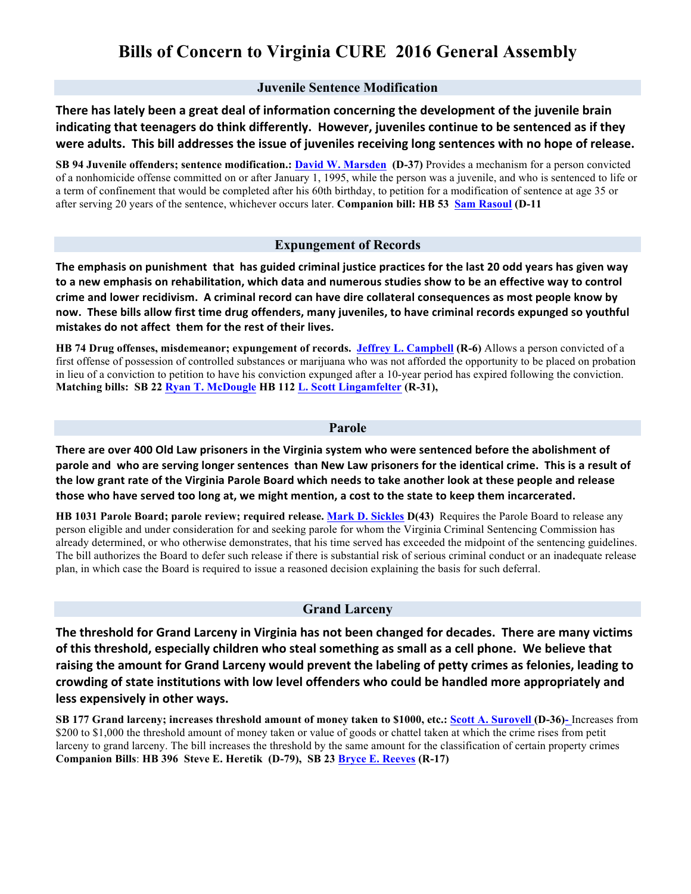# **Bills of Concern to Virginia CURE 2016 General Assembly**

#### **Juvenile Sentence Modification**

There has lately been a great deal of information concerning the development of the juvenile brain indicating that teenagers do think differently. However, juveniles continue to be sentenced as if they were adults. This bill addresses the issue of juveniles receiving long sentences with no hope of release.

**SB 94 Juvenile offenders; sentence modification.: David W. Marsden (D-37)** Provides a mechanism for a person convicted of a nonhomicide offense committed on or after January 1, 1995, while the person was a juvenile, and who is sentenced to life or a term of confinement that would be completed after his 60th birthday, to petition for a modification of sentence at age 35 or after serving 20 years of the sentence, whichever occurs later. **Companion bill: HB 53 Sam Rasoul (D-11**

#### **Expungement of Records**

The emphasis on punishment that has guided criminal justice practices for the last 20 odd years has given way **to%a%new%emphasis%on%rehabilitation, which%data%and%numerous%studies%show to%be%an%effective way%to%control%** crime and lower recidivism. A criminal record can have dire collateral consequences as most people know by **now.%%These%bills%allow%first%time%drug%offenders,%many juveniles, to%have%criminal%records%expunged%so%youthful% mistakes do not affect them for the rest of their lives.** 

**HB 74 Drug offenses, misdemeanor; expungement of records. Jeffrey L. Campbell (R-6)** Allows a person convicted of a first offense of possession of controlled substances or marijuana who was not afforded the opportunity to be placed on probation in lieu of a conviction to petition to have his conviction expunged after a 10-year period has expired following the conviction. **Matching bills: SB 22 Ryan T. McDougle HB 112 L. Scott Lingamfelter (R-31),** 

#### **Parole**

There are over 400 Old Law prisoners in the Virginia system who were sentenced before the abolishment of parole and who are serving longer sentences than New Law prisoners for the identical crime. This is a result of the low grant rate of the Virginia Parole Board which needs to take another look at these people and release those who have served too long at, we might mention, a cost to the state to keep them incarcerated.

**HB 1031 Parole Board; parole review; required release. Mark D. Sickles D(43)** Requires the Parole Board to release any person eligible and under consideration for and seeking parole for whom the Virginia Criminal Sentencing Commission has already determined, or who otherwise demonstrates, that his time served has exceeded the midpoint of the sentencing guidelines. The bill authorizes the Board to defer such release if there is substantial risk of serious criminal conduct or an inadequate release plan, in which case the Board is required to issue a reasoned decision explaining the basis for such deferral.

#### **Grand Larceny**

The threshold for Grand Larceny in Virginia has not been changed for decades. There are many victims of this threshold, especially children who steal something as small as a cell phone. We believe that raising the amount for Grand Larceny would prevent the labeling of petty crimes as felonies, leading to crowding of state institutions with low level offenders who could be handled more appropriately and less expensively in other ways.

**SB 177 Grand larceny; increases threshold amount of money taken to \$1000, etc.: Scott A. Surovell (D-36)-** Increases from \$200 to \$1,000 the threshold amount of money taken or value of goods or chattel taken at which the crime rises from petit larceny to grand larceny. The bill increases the threshold by the same amount for the classification of certain property crimes **Companion Bills**: **HB 396 Steve E. Heretik (D-79), SB 23 Bryce E. Reeves (R-17)**